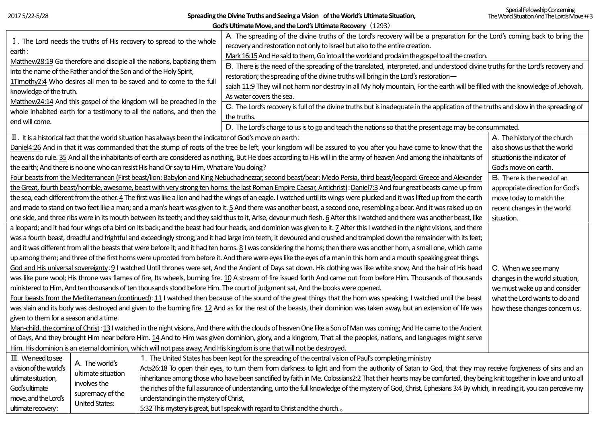ultimate recovery:

**Spreading the Divine Truths and Seeing a Vision of the World's Ultimate Situation,**

| God's Ultimate Move, and the Lord's Ultimate Recovery (1293)                                                                                                                                                                                                                                                                                                                                                                |                                                                                                                                                                                                       |                                                                     |                                                                                                                                                                               |                              |  |  |  |  |  |
|-----------------------------------------------------------------------------------------------------------------------------------------------------------------------------------------------------------------------------------------------------------------------------------------------------------------------------------------------------------------------------------------------------------------------------|-------------------------------------------------------------------------------------------------------------------------------------------------------------------------------------------------------|---------------------------------------------------------------------|-------------------------------------------------------------------------------------------------------------------------------------------------------------------------------|------------------------------|--|--|--|--|--|
|                                                                                                                                                                                                                                                                                                                                                                                                                             |                                                                                                                                                                                                       |                                                                     | A. The spreading of the divine truths of the Lord's recovery will be a preparation for the Lord's coming back to bring the                                                    |                              |  |  |  |  |  |
|                                                                                                                                                                                                                                                                                                                                                                                                                             |                                                                                                                                                                                                       | I. The Lord needs the truths of His recovery to spread to the whole | recovery and restoration not only to Israel but also to the entire creation.                                                                                                  |                              |  |  |  |  |  |
| earth:<br>Matthew28:19 Go therefore and disciple all the nations, baptizing them<br>into the name of the Father and of the Son and of the Holy Spirit,<br>1Timothy2:4 Who desires all men to be saved and to come to the full<br>knowledge of the truth.<br>Matthew24:14 And this gospel of the kingdom will be preached in the<br>whole inhabited earth for a testimony to all the nations, and then the<br>end will come. |                                                                                                                                                                                                       |                                                                     | Mark 16:15 And He said to them, Go into all the world and proclaim the gospel to all the creation.                                                                            |                              |  |  |  |  |  |
|                                                                                                                                                                                                                                                                                                                                                                                                                             |                                                                                                                                                                                                       |                                                                     | B. There is the need of the spreading of the translated, interpreted, and understood divine truths for the Lord's recovery and                                                |                              |  |  |  |  |  |
|                                                                                                                                                                                                                                                                                                                                                                                                                             |                                                                                                                                                                                                       |                                                                     | restoration; the spreading of the divine truths will bring in the Lord's restoration-                                                                                         |                              |  |  |  |  |  |
|                                                                                                                                                                                                                                                                                                                                                                                                                             |                                                                                                                                                                                                       |                                                                     | saiah 11:9 They will not harm nor destroy In all My holy mountain, For the earth will be filled with the knowledge of Jehovah,                                                |                              |  |  |  |  |  |
|                                                                                                                                                                                                                                                                                                                                                                                                                             |                                                                                                                                                                                                       |                                                                     | As water covers the sea.                                                                                                                                                      |                              |  |  |  |  |  |
|                                                                                                                                                                                                                                                                                                                                                                                                                             |                                                                                                                                                                                                       |                                                                     | C. The Lord's recovery is full of the divine truths but is inadequate in the application of the truths and slow in the spreading of                                           |                              |  |  |  |  |  |
|                                                                                                                                                                                                                                                                                                                                                                                                                             |                                                                                                                                                                                                       |                                                                     | the truths.                                                                                                                                                                   |                              |  |  |  |  |  |
|                                                                                                                                                                                                                                                                                                                                                                                                                             |                                                                                                                                                                                                       |                                                                     | D. The Lord's charge to us is to go and teach the nations so that the present age may be consummated.                                                                         |                              |  |  |  |  |  |
|                                                                                                                                                                                                                                                                                                                                                                                                                             | $\rm{II}$ . It is a historical fact that the world situation has always been the indicator of God's move on earth:                                                                                    | A. The history of the church                                        |                                                                                                                                                                               |                              |  |  |  |  |  |
|                                                                                                                                                                                                                                                                                                                                                                                                                             |                                                                                                                                                                                                       |                                                                     | Daniel4:26 And in that it was commanded that the stump of roots of the tree be left, your kingdom will be assured to you after you have come to know that the                 | also shows us that the world |  |  |  |  |  |
|                                                                                                                                                                                                                                                                                                                                                                                                                             | heavens do rule. 35 And all the inhabitants of earth are considered as nothing, But He does according to His will in the army of heaven And among the inhabitants of                                  | situationis the indicator of                                        |                                                                                                                                                                               |                              |  |  |  |  |  |
| the earth; And there is no one who can resist His hand Or say to Him, What are You doing?                                                                                                                                                                                                                                                                                                                                   | God's move on earth.                                                                                                                                                                                  |                                                                     |                                                                                                                                                                               |                              |  |  |  |  |  |
| Four beasts from the Mediterranean (First beast/lion: Babylon and King Nebuchadnezzar, second beast/bear: Medo Persia, third beast/leopard: Greece and Alexander                                                                                                                                                                                                                                                            | B. There is the need of an                                                                                                                                                                            |                                                                     |                                                                                                                                                                               |                              |  |  |  |  |  |
| the Great, fourth beast/horrible, awesome, beast with very strong ten horns: the last Roman Empire Caesar, Antichrist): Daniel7:3 And four great beasts came up from<br>appropriate direction for God's                                                                                                                                                                                                                     |                                                                                                                                                                                                       |                                                                     |                                                                                                                                                                               |                              |  |  |  |  |  |
|                                                                                                                                                                                                                                                                                                                                                                                                                             |                                                                                                                                                                                                       |                                                                     | the sea, each different from the other. 4 The first was like a lion and had the wings of an eagle. I watched until its wings were plucked and it was lifted up from the earth | move today to match the      |  |  |  |  |  |
|                                                                                                                                                                                                                                                                                                                                                                                                                             | and made to stand on two feet like a man; and a man's heart was given to it. 5 And there was another beast, a second one, resembling a bear. And it was raised up on<br>recent changes in the world   |                                                                     |                                                                                                                                                                               |                              |  |  |  |  |  |
| one side, and three ribs were in its mouth between its teeth; and they said thus to it, Arise, devour much flesh. 6 After this I watched and there was another beast, like<br>situation.                                                                                                                                                                                                                                    |                                                                                                                                                                                                       |                                                                     |                                                                                                                                                                               |                              |  |  |  |  |  |
| a leopard; and it had four wings of a bird on its back; and the beast had four heads, and dominion was given to it. 7 After this I watched in the night visions, and there                                                                                                                                                                                                                                                  |                                                                                                                                                                                                       |                                                                     |                                                                                                                                                                               |                              |  |  |  |  |  |
| was a fourth beast, dreadful and frightful and exceedingly strong; and it had large iron teeth; it devoured and crushed and trampled down the remainder with its feet;                                                                                                                                                                                                                                                      |                                                                                                                                                                                                       |                                                                     |                                                                                                                                                                               |                              |  |  |  |  |  |
| and it was different from all the beasts that were before it; and it had ten horns. 81 was considering the horns; then there was another horn, a small one, which came                                                                                                                                                                                                                                                      |                                                                                                                                                                                                       |                                                                     |                                                                                                                                                                               |                              |  |  |  |  |  |
| up among them; and three of the first horns were uprooted from before it. And there were eyes like the eyes of a man in this horn and a mouth speaking great things.                                                                                                                                                                                                                                                        |                                                                                                                                                                                                       |                                                                     |                                                                                                                                                                               |                              |  |  |  |  |  |
| God and His universal sovereignty: 9 I watched Until thrones were set, And the Ancient of Days sat down. His clothing was like white snow, And the hair of His head<br>C. When we see many                                                                                                                                                                                                                                  |                                                                                                                                                                                                       |                                                                     |                                                                                                                                                                               |                              |  |  |  |  |  |
|                                                                                                                                                                                                                                                                                                                                                                                                                             | was like pure wool; His throne was flames of fire, Its wheels, burning fire. 10 A stream of fire issued forth And came out from before Him. Thousands of thousands<br>changes in the world situation, |                                                                     |                                                                                                                                                                               |                              |  |  |  |  |  |
| ministered to Him, And ten thousands of ten thousands stood before Him. The court of judgment sat, And the books were opened.<br>we must wake up and consider                                                                                                                                                                                                                                                               |                                                                                                                                                                                                       |                                                                     |                                                                                                                                                                               |                              |  |  |  |  |  |
| Four beasts from the Mediterranean (continued): 11 I watched then because of the sound of the great things that the horn was speaking; I watched until the beast<br>what the Lord wants to do and                                                                                                                                                                                                                           |                                                                                                                                                                                                       |                                                                     |                                                                                                                                                                               |                              |  |  |  |  |  |
| was slain and its body was destroyed and given to the burning fire. 12 And as for the rest of the beasts, their dominion was taken away, but an extension of life was<br>how these changes concern us.                                                                                                                                                                                                                      |                                                                                                                                                                                                       |                                                                     |                                                                                                                                                                               |                              |  |  |  |  |  |
| given to them for a season and a time.                                                                                                                                                                                                                                                                                                                                                                                      |                                                                                                                                                                                                       |                                                                     |                                                                                                                                                                               |                              |  |  |  |  |  |
| Man-child, the coming of Christ: 13 I watched in the night visions, And there with the clouds of heaven One like a Son of Man was coming; And He came to the Ancient                                                                                                                                                                                                                                                        |                                                                                                                                                                                                       |                                                                     |                                                                                                                                                                               |                              |  |  |  |  |  |
| of Days, And they brought Him near before Him. 14 And to Him was given dominion, glory, and a kingdom, That all the peoples, nations, and languages might serve                                                                                                                                                                                                                                                             |                                                                                                                                                                                                       |                                                                     |                                                                                                                                                                               |                              |  |  |  |  |  |
| Him. His dominion is an eternal dominion, which will not pass away; And His kingdom is one that will not be destroyed.                                                                                                                                                                                                                                                                                                      |                                                                                                                                                                                                       |                                                                     |                                                                                                                                                                               |                              |  |  |  |  |  |
| III. We need to see                                                                                                                                                                                                                                                                                                                                                                                                         | A. The world's                                                                                                                                                                                        |                                                                     | 1. The United States has been kept for the spreading of the central vision of Paul's completing ministry                                                                      |                              |  |  |  |  |  |
| a vision of the world's                                                                                                                                                                                                                                                                                                                                                                                                     | ultimate situation                                                                                                                                                                                    |                                                                     | Acts26:18 To open their eyes, to turn them from darkness to light and from the authority of Satan to God, that they may receive forgiveness of sins and an                    |                              |  |  |  |  |  |
| ultimate situation,                                                                                                                                                                                                                                                                                                                                                                                                         | involves the                                                                                                                                                                                          |                                                                     | inheritance among those who have been sanctified by faith in Me. Colossians2:2 That their hearts may be comforted, they being knit together in love and unto all              |                              |  |  |  |  |  |
| God's ultimate                                                                                                                                                                                                                                                                                                                                                                                                              | supremacy of the                                                                                                                                                                                      |                                                                     | the riches of the full assurance of understanding, unto the full knowledge of the mystery of God, Christ, Ephesians 3:4 By which, in reading it, you can perceive my          |                              |  |  |  |  |  |
| move, and the Lord's                                                                                                                                                                                                                                                                                                                                                                                                        | <b>United States:</b>                                                                                                                                                                                 | understanding in the mystery of Christ,                             |                                                                                                                                                                               |                              |  |  |  |  |  |

5:32 This mystery is great, but I speak with regard to Christ and the church...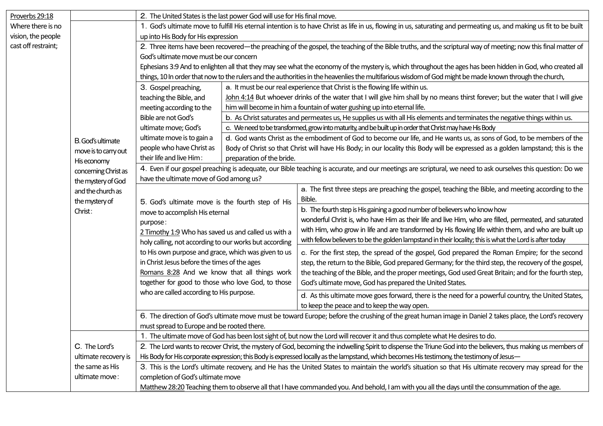| Proverbs 29:18      |                                                                                                                                                          | 2. The United States is the last power God will use for His final move.                                                                                                                                         |                                                                                                                                  |                                                                                                                                                                  |  |  |  |
|---------------------|----------------------------------------------------------------------------------------------------------------------------------------------------------|-----------------------------------------------------------------------------------------------------------------------------------------------------------------------------------------------------------------|----------------------------------------------------------------------------------------------------------------------------------|------------------------------------------------------------------------------------------------------------------------------------------------------------------|--|--|--|
| Where there is no   |                                                                                                                                                          | 1. God's ultimate move to fulfill His eternal intention is to have Christ as life in us, flowing in us, saturating and permeating us, and making us fit to be built<br>up into His Body for His expression      |                                                                                                                                  |                                                                                                                                                                  |  |  |  |
| vision, the people  |                                                                                                                                                          |                                                                                                                                                                                                                 |                                                                                                                                  |                                                                                                                                                                  |  |  |  |
| cast off restraint; | B. God's ultimate<br>move is to carry out<br>His economy<br>concerning Christ as<br>the mystery of God<br>and the church as<br>the mystery of<br>Christ: | 2. Three items have been recovered—the preaching of the gospel, the teaching of the Bible truths, and the scriptural way of meeting; now this final matter of                                                   |                                                                                                                                  |                                                                                                                                                                  |  |  |  |
|                     |                                                                                                                                                          | God's ultimate move must be our concern                                                                                                                                                                         |                                                                                                                                  |                                                                                                                                                                  |  |  |  |
|                     |                                                                                                                                                          | Ephesians 3:9 And to enlighten all that they may see what the economy of the mystery is, which throughout the ages has been hidden in God, who created all                                                      |                                                                                                                                  |                                                                                                                                                                  |  |  |  |
|                     |                                                                                                                                                          | things, 10 In order that now to the rulers and the authorities in the heavenlies the multifarious wisdom of God might be made known through the church,                                                         |                                                                                                                                  |                                                                                                                                                                  |  |  |  |
|                     |                                                                                                                                                          | 3. Gospel preaching,                                                                                                                                                                                            | a. It must be our real experience that Christ is the flowing life within us.                                                     |                                                                                                                                                                  |  |  |  |
|                     |                                                                                                                                                          | teaching the Bible, and                                                                                                                                                                                         | John 4:14 But whoever drinks of the water that I will give him shall by no means thirst forever; but the water that I will give  |                                                                                                                                                                  |  |  |  |
|                     |                                                                                                                                                          | meeting according to the                                                                                                                                                                                        |                                                                                                                                  | him will become in him a fountain of water gushing up into eternal life.                                                                                         |  |  |  |
|                     |                                                                                                                                                          | Bible are not God's                                                                                                                                                                                             |                                                                                                                                  | b. As Christ saturates and permeates us, He supplies us with all His elements and terminates the negative things within us.                                      |  |  |  |
|                     |                                                                                                                                                          | ultimate move; God's                                                                                                                                                                                            | c. We need to be transformed, grow into maturity, and be built up in order that Christ may have His Body                         |                                                                                                                                                                  |  |  |  |
|                     |                                                                                                                                                          | ultimate move is to gain a                                                                                                                                                                                      | d. God wants Christ as the embodiment of God to become our life, and He wants us, as sons of God, to be members of the           |                                                                                                                                                                  |  |  |  |
|                     |                                                                                                                                                          | people who have Christ as                                                                                                                                                                                       | Body of Christ so that Christ will have His Body; in our locality this Body will be expressed as a golden lampstand; this is the |                                                                                                                                                                  |  |  |  |
|                     |                                                                                                                                                          | their life and live Him:<br>preparation of the bride.                                                                                                                                                           |                                                                                                                                  |                                                                                                                                                                  |  |  |  |
|                     |                                                                                                                                                          | 4. Even if our gospel preaching is adequate, our Bible teaching is accurate, and our meetings are scriptural, we need to ask ourselves this question: Do we                                                     |                                                                                                                                  |                                                                                                                                                                  |  |  |  |
|                     |                                                                                                                                                          | have the ultimate move of God among us?                                                                                                                                                                         |                                                                                                                                  |                                                                                                                                                                  |  |  |  |
|                     |                                                                                                                                                          |                                                                                                                                                                                                                 |                                                                                                                                  | a. The first three steps are preaching the gospel, teaching the Bible, and meeting according to the<br>Bible.                                                    |  |  |  |
|                     |                                                                                                                                                          | 5. God's ultimate move is the fourth step of His<br>move to accomplish His eternal<br>purpose:<br>2 Timothy 1:9 Who has saved us and called us with a<br>holy calling, not according to our works but according |                                                                                                                                  | b. The fourth step is His gaining a good number of believers who know how                                                                                        |  |  |  |
|                     |                                                                                                                                                          |                                                                                                                                                                                                                 |                                                                                                                                  | wonderful Christ is, who have Him as their life and live Him, who are filled, permeated, and saturated                                                           |  |  |  |
|                     |                                                                                                                                                          |                                                                                                                                                                                                                 |                                                                                                                                  | with Him, who grow in life and are transformed by His flowing life within them, and who are built up                                                             |  |  |  |
|                     |                                                                                                                                                          |                                                                                                                                                                                                                 |                                                                                                                                  | with fellow believers to be the golden lampstand in their locality; this is what the Lord is after today                                                         |  |  |  |
|                     |                                                                                                                                                          | to His own purpose and grace, which was given to us                                                                                                                                                             |                                                                                                                                  | c. For the first step, the spread of the gospel, God prepared the Roman Empire; for the second                                                                   |  |  |  |
|                     |                                                                                                                                                          | in Christ Jesus before the times of the ages                                                                                                                                                                    |                                                                                                                                  | step, the return to the Bible, God prepared Germany; for the third step, the recovery of the gospel,                                                             |  |  |  |
|                     |                                                                                                                                                          | Romans 8:28 And we know that all things work                                                                                                                                                                    |                                                                                                                                  | the teaching of the Bible, and the proper meetings, God used Great Britain; and for the fourth step,                                                             |  |  |  |
|                     |                                                                                                                                                          | together for good to those who love God, to those<br>who are called according to His purpose.                                                                                                                   |                                                                                                                                  | God's ultimate move, God has prepared the United States.                                                                                                         |  |  |  |
|                     |                                                                                                                                                          |                                                                                                                                                                                                                 |                                                                                                                                  | d. As this ultimate move goes forward, there is the need for a powerful country, the United States,                                                              |  |  |  |
|                     |                                                                                                                                                          |                                                                                                                                                                                                                 |                                                                                                                                  | to keep the peace and to keep the way open.                                                                                                                      |  |  |  |
|                     |                                                                                                                                                          | 6. The direction of God's ultimate move must be toward Europe; before the crushing of the great human image in Daniel 2 takes place, the Lord's recovery                                                        |                                                                                                                                  |                                                                                                                                                                  |  |  |  |
|                     |                                                                                                                                                          | must spread to Europe and be rooted there.                                                                                                                                                                      |                                                                                                                                  |                                                                                                                                                                  |  |  |  |
|                     |                                                                                                                                                          | 1. The ultimate move of God has been lost sight of, but now the Lord will recover it and thus complete what He desires to do.                                                                                   |                                                                                                                                  |                                                                                                                                                                  |  |  |  |
|                     | C. The Lord's                                                                                                                                            |                                                                                                                                                                                                                 |                                                                                                                                  | 2. The Lord wants to recover Christ, the mystery of God, becoming the indwelling Spirit to dispense the Triune God into the believers, thus making us members of |  |  |  |
|                     | ultimate recovery is                                                                                                                                     | His Body for His corporate expression; this Body is expressed locally as the lampstand, which becomes His testimony, the testimony of Jesus—                                                                    |                                                                                                                                  |                                                                                                                                                                  |  |  |  |
|                     | the same as His                                                                                                                                          | 3. This is the Lord's ultimate recovery, and He has the United States to maintain the world's situation so that His ultimate recovery may spread for the                                                        |                                                                                                                                  |                                                                                                                                                                  |  |  |  |
|                     | ultimate move:                                                                                                                                           | completion of God's ultimate move                                                                                                                                                                               |                                                                                                                                  |                                                                                                                                                                  |  |  |  |
|                     |                                                                                                                                                          | Matthew 28:20 Teaching them to observe all that I have commanded you. And behold, I am with you all the days until the consummation of the age.                                                                 |                                                                                                                                  |                                                                                                                                                                  |  |  |  |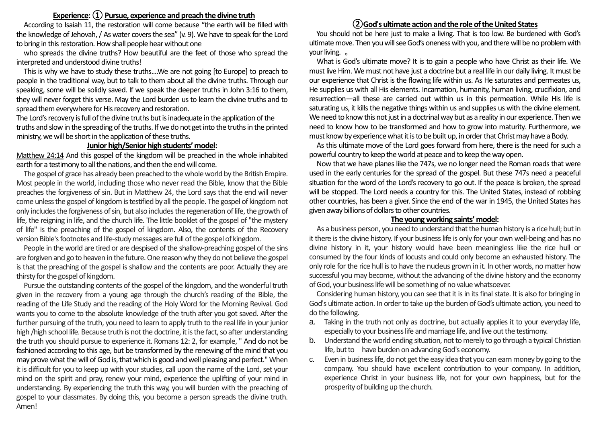# **Experience: ① Pursue, experience and preach the divine truth**

According to Isaiah 11, the restoration will come because "the earth will be filled with the knowledge of Jehovah, / As water covers the sea" (v. 9). We have to speak for the Lord to bring in this restoration. How shall people hear without one

who spreads the divine truths? How beautiful are the feet of those who spread the interpreted and understood divine truths!

This is why we have to study these truths....We are not going [to Europe] to preach to people in the traditional way, but to talk to them about all the divine truths. Through our speaking, some will be solidly saved. If we speak the deeper truths in John 3:16 to them, they will never forget this verse. May the Lord burden us to learn the divine truths and to spread them everywhere for His recovery and restoration.

The Lord's recovery is full of the divine truths but is inadequate in the application of the truths and slow in the spreading of the truths. If we do not get into the truths in the printed ministry, we will be short in the application of these truths.

#### **Junior high/Senior high students' model:**

Matthew 24:14 And this gospel of the kingdom will be preached in the whole inhabited earth for a testimony to all the nations, and then the end will come.

The gospel of grace has already been preached to the whole world by the British Empire. Most people in the world, including those who never read the Bible, know that the Bible preaches the forgiveness of sin. But in Matthew 24, the Lord says that the end will never come unless the gospel of kingdom is testified by all the people. The gospel of kingdom not only includes the forgiveness of sin, but also includes the regeneration of life, the growth of life, the reigning in life, and the church life. The little booklet of the gospel of "the mystery of life" is the preaching of the gospel of kingdom. Also, the contents of the Recovery version Bible's footnotes and life-study messages are full of the gospel of kingdom.

People in the world are tired or are despised of the shallow-preaching gospel of the sins are forgiven and go to heaven in the future. One reason why they do not believe the gospel is that the preaching of the gospel is shallow and the contents are poor. Actually they are thirsty for the gospel of kingdom.

Pursue the outstanding contents of the gospel of the kingdom, and the wonderful truth given in the recovery from a young age through the church's reading of the Bible, the reading of the Life Study and the reading of the Holy Word for the Morning Revival. God wants you to come to the absolute knowledge of the truth after you got saved. After the further pursuing of the truth, you need to learn to apply truth to the real life in your junior high /high school life. Because truth is not the doctrine, it is the fact, so after understanding the truth you should pursue to experience it. Romans 12: 2, for example, " And do not be fashioned according to this age, but be transformed by the renewing of the mind that you may prove what the will of God is, that which is good and well pleasing and perfect." When it is difficult for you to keep up with your studies, call upon the name of the Lord, set your mind on the spirit and pray, renew your mind, experience the uplifting of your mind in understanding. By experiencing the truth this way, you will burden with the preaching of gospel to your classmates. By doing this, you become a person spreads the divine truth. Amen!

# **②God's ultimate action and the role of the United States**

You should not be here just to make a living. That is too low. Be burdened with God's ultimate move. Then you will see God's oneness with you, and therewill be no problemwith your living. 。

What is God's ultimate move? It is to gain a people who have Christ as their life. We must live Him. We must not have just a doctrine but a real life in our daily living. It must be our experience that Christ is the flowing life within us. As He saturates and permeates us, He supplies us with all His elements. Incarnation, humanity, human living, crucifixion, and resurrection—all these are carried out within us in this permeation. While His life is saturating us, it kills the negative things within us and supplies us with the divine element. We need to know this not just in a doctrinal way but as a reality in our experience. Then we need to know how to be transformed and how to grow into maturity. Furthermore, we must know by experience what it is to be built up, in order that Christ may have a Body.

As this ultimate move of the Lord goes forward from here, there is the need for such a powerful country to keep the world at peace and to keep the way open.

Now that we have planes like the 747s, we no longer need the Roman roads that were used in the early centuries for the spread of the gospel. But these 747s need a peaceful situation for the word of the Lord's recovery to go out. If the peace is broken, the spread will be stopped. The Lord needs a country for this. The United States, instead of robbing other countries, has been a giver. Since the end of the war in 1945, the United States has given away billions of dollars to other countries.

#### **The young working saints' model:**

As a business person, you need to understand that the human history is a rice hull; but in it there is the divine history. If your business life is only for your own well-being and has no divine history in it, your history would have been meaningless like the rice hull or consumed by the four kinds of locusts and could only become an exhausted history. The only role for the rice hull is to have the nucleus grown in it. In other words, no matter how successful you may become, without the advancing of the divine history and the economy of God, your business life will be something of no value whatsoever.

Considering human history, you can see that it is in its final state. It is also for bringing in God's ultimate action. In order to take up the burden of God's ultimate action, you need to do the following.

- a. Taking in the truth not only as doctrine, but actually applies it to your everyday life, especially to your business life and marriage life, and live out the testimony.
- b. Understand the world ending situation, not to merely to go through a typical Christian life, but to have burden on advancing God's economy.
- c. Even in business life, do not get the easy idea that you can earn money by going to the company. You should have excellent contribution to your company. In addition, experience Christ in your business life, not for your own happiness, but for the prosperity of building up the church.